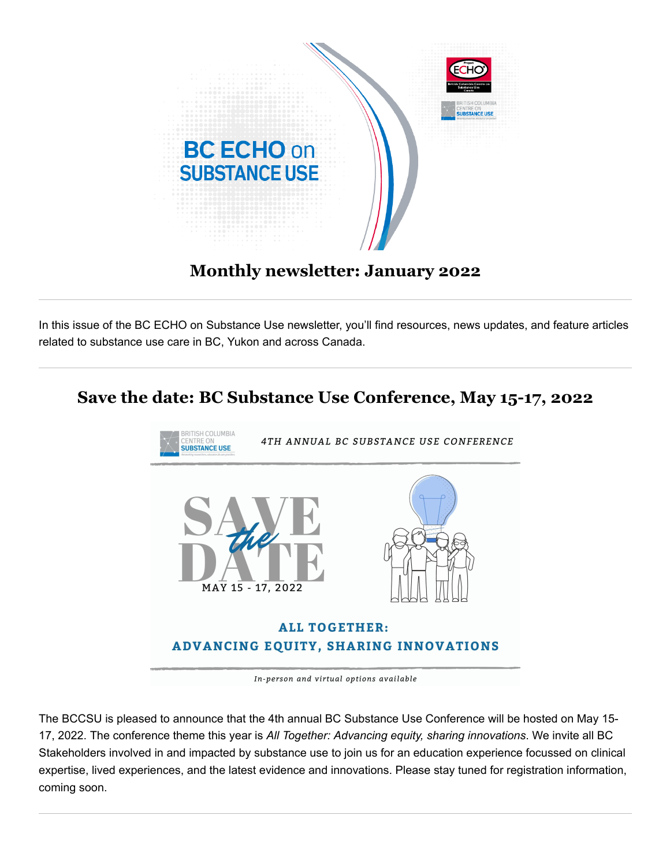

### **Monthly newsletter: January 2022**

In this issue of the BC ECHO on Substance Use newsletter, you'll find resources, news updates, and feature articles related to substance use care in BC, Yukon and across Canada.

### **Save the date: BC Substance Use Conference, May 15-17, 2022**



In-person and virtual options available

The BCCSU is pleased to announce that the 4th annual BC Substance Use Conference will be hosted on May 15- 17, 2022. The conference theme this year is *All Together: Advancing equity, sharing innovations*. We invite all BC Stakeholders involved in and impacted by substance use to join us for an education experience focussed on clinical expertise, lived experiences, and the latest evidence and innovations. Please stay tuned for registration information, coming soon.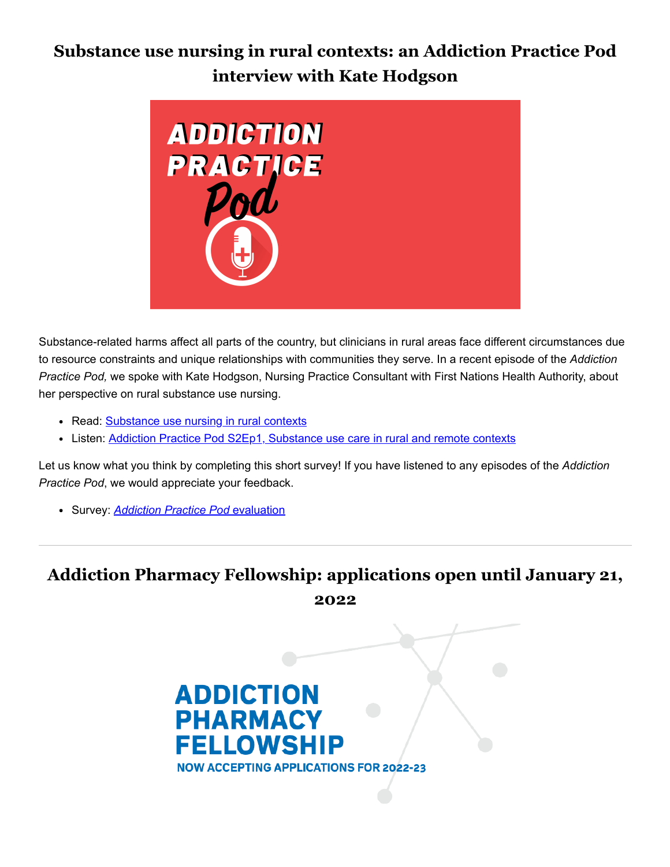# **Substance use nursing in rural contexts: an Addiction Practice Pod interview with Kate Hodgson**



Substance-related harms affect all parts of the country, but clinicians in rural areas face different circumstances due to resource constraints and unique relationships with communities they serve. In a recent episode of the *Addiction Practice Pod,* we spoke with Kate Hodgson, Nursing Practice Consultant with First Nations Health Authority, about her perspective on rural substance use nursing.

- Read: [Substance use nursing in rural contexts](https://cmtd1.com/c/443/983dfe1c3851c85c4aa8e8745e9e7546b43dabc82573267aee8e6477394877d023f1f694ea285081)
- Listen: [Addiction Practice Pod S2Ep1, Substance use care in rural and remote contexts](https://cmtd1.com/c/443/983dfe1c3851c85c4aa8e8745e9e7546b43dabc82573267ae15bb42248dce84b23f1f694ea285081)

Let us know what you think by completing this short survey! If you have listened to any episodes of the *Addiction Practice Pod*, we would appreciate your feedback.

Survey: *[Addiction Practice Pod](https://cmtd1.com/c/443/983dfe1c3851c85c4aa8e8745e9e7546b43dabc82573267a286015044dc35f8823f1f694ea285081)* evaluation

# **Addiction Pharmacy Fellowship: applications open until January 21, 2022**

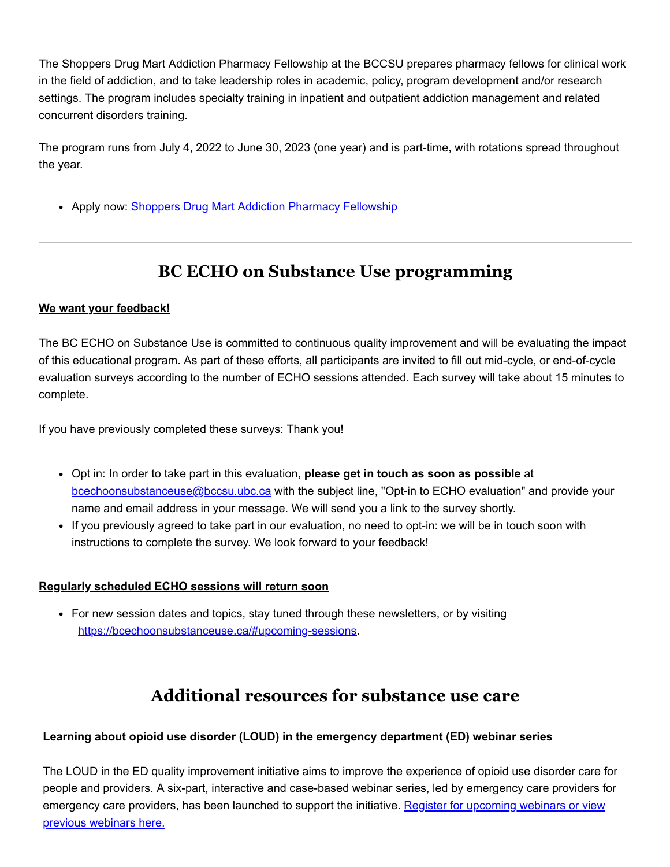The Shoppers Drug Mart Addiction Pharmacy Fellowship at the BCCSU prepares pharmacy fellows for clinical work in the field of addiction, and to take leadership roles in academic, policy, program development and/or research settings. The program includes specialty training in inpatient and outpatient addiction management and related concurrent disorders training.

The program runs from July 4, 2022 to June 30, 2023 (one year) and is part-time, with rotations spread throughout the year.

• Apply now: **[Shoppers Drug Mart Addiction Pharmacy Fellowship](https://cmtd1.com/c/443/983dfe1c3851c85c4aa8e8745e9e7546b43dabc82573267a923f50fcceb5cf7423f1f694ea285081)** 

# **BC ECHO on Substance Use programming**

#### **We want your feedback!**

The BC ECHO on Substance Use is committed to continuous quality improvement and will be evaluating the impact of this educational program. As part of these efforts, all participants are invited to fill out mid-cycle, or end-of-cycle evaluation surveys according to the number of ECHO sessions attended. Each survey will take about 15 minutes to complete.

If you have previously completed these surveys: Thank you!

- Opt in: In order to take part in this evaluation, **please get in touch as soon as possible** at [bcechoonsubstanceuse@bccsu.ubc.ca](mailto:bcechoonsubstanceuse@bccsu.ubc.ca) with the subject line, "Opt-in to ECHO evaluation" and provide your name and email address in your message. We will send you a link to the survey shortly.
- If you previously agreed to take part in our evaluation, no need to opt-in: we will be in touch soon with instructions to complete the survey. We look forward to your feedback!

#### **Regularly scheduled ECHO sessions will return soon**

• For new session dates and topics, stay tuned through these newsletters, or by visiting [https://bcechoonsubstanceuse.ca/#upcoming-sessions](https://cmtd1.com/c/443/983dfe1c3851c85c4aa8e8745e9e7546b43dabc82573267ae62ad714f1881b7a23f1f694ea285081).

# **Additional resources for substance use care**

### **Learning about opioid use disorder (LOUD) in the emergency department (ED) webinar series**

The LOUD in the ED quality improvement initiative aims to improve the experience of opioid use disorder care for people and providers. A six-part, interactive and case-based webinar series, led by emergency care providers for [emergency care providers, has been launched to support the initiative. Register for upcoming webinars or view](https://cmtd1.com/c/443/983dfe1c3851c85c4aa8e8745e9e7546b43dabc82573267a8e5503e9e6a95a5123f1f694ea285081) previous webinars here.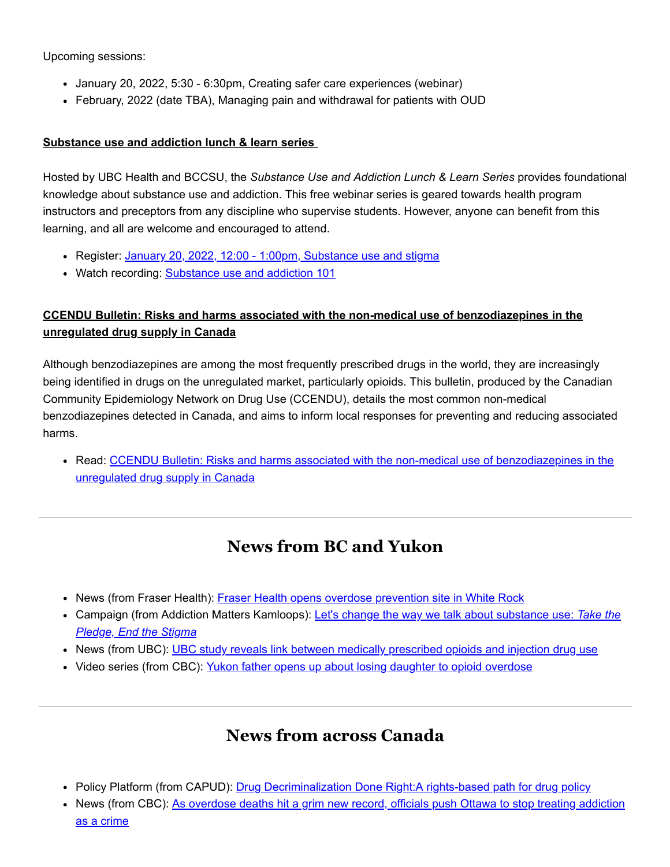Upcoming sessions:

- January 20, 2022, 5:30 6:30pm, Creating safer care experiences (webinar)
- February, 2022 (date TBA), Managing pain and withdrawal for patients with OUD

#### **Substance use and addiction lunch & learn series**

Hosted by UBC Health and BCCSU, the *Substance Use and Addiction Lunch & Learn Series* provides foundational knowledge about substance use and addiction. This free webinar series is geared towards health program instructors and preceptors from any discipline who supervise students. However, anyone can benefit from this learning, and all are welcome and encouraged to attend.

- Register: [January 20, 2022, 12:00 1:00pm, Substance use and stigma](https://cmtd1.com/c/443/983dfe1c3851c85c4aa8e8745e9e7546b43dabc82573267ac0fba42ebc55b40323f1f694ea285081)
- Watch recording: **Substance use and addiction 101**

### **CCENDU Bulletin: Risks and harms associated with the non-medical use of benzodiazepines in the unregulated drug supply in Canada**

Although benzodiazepines are among the most frequently prescribed drugs in the world, they are increasingly being identified in drugs on the unregulated market, particularly opioids. This bulletin, produced by the Canadian Community Epidemiology Network on Drug Use (CCENDU), details the most common non-medical benzodiazepines detected in Canada, and aims to inform local responses for preventing and reducing associated harms.

• [Read: CCENDU Bulletin: Risks and harms associated with the non-medical use of benzodiazepines in the](https://cmtd1.com/c/443/983dfe1c3851c85c4aa8e8745e9e7546b43dabc82573267af1967715ab2c4d5423f1f694ea285081) unregulated drug supply in Canada

## **News from BC and Yukon**

- News (from Fraser Health): [Fraser Health opens overdose prevention site in White Rock](https://cmtd1.com/c/443/983dfe1c3851c85c4aa8e8745e9e7546b43dabc82573267a3f00d8552fa06f4623f1f694ea285081)
- [Campaign \(from Addiction Matters Kamloops\): Let's change the way we talk about substance use:](https://cmtd1.com/c/443/983dfe1c3851c85c4aa8e8745e9e7546b43dabc82573267a3ff23335430fbfc623f1f694ea285081) *Take the Pledge, End the Stigma*
- News (from UBC): [UBC study reveals link between medically prescribed opioids and injection drug use](https://cmtd1.com/c/443/983dfe1c3851c85c4aa8e8745e9e7546b43dabc82573267a92bb00801e33781c23f1f694ea285081)
- Video series (from CBC): [Yukon father opens up about losing daughter to opioid overdose](https://cmtd1.com/c/443/983dfe1c3851c85c4aa8e8745e9e7546b43dabc82573267acb45cda08d52ea1323f1f694ea285081)

## **News from across Canada**

- Policy Platform (from CAPUD): Drug Decriminalization Done Right: A rights-based path for drug policy
- [News \(from CBC\): As overdose deaths hit a grim new record, officials push Ottawa to stop treating addiction](https://cmtd1.com/c/443/983dfe1c3851c85c4aa8e8745e9e7546b43dabc82573267a3116253a449ac0b023f1f694ea285081) as a crime